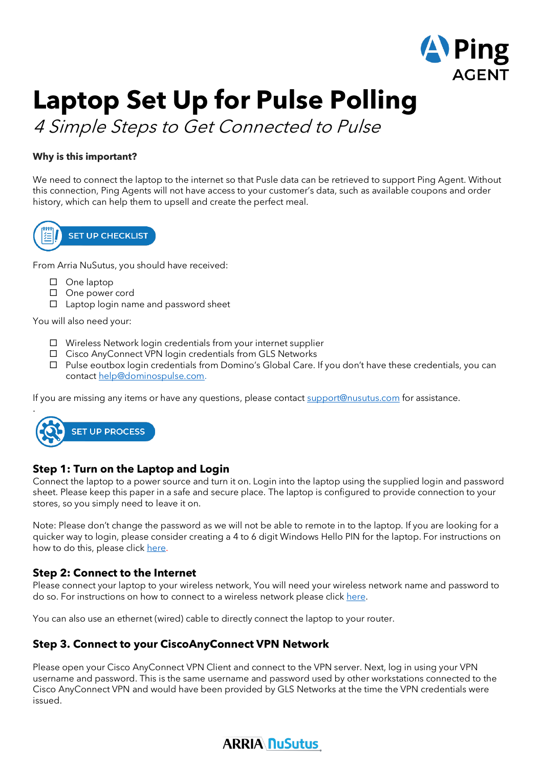

# **Laptop Set Up for Pulse Polling**

4 Simple Steps to Get Connected to Pulse

# **Why is this important?**

We need to connect the laptop to the internet so that Pusle data can be retrieved to support Ping Agent. Without this connection, Ping Agents will not have access to your customer's data, such as available coupons and order history, which can help them to upsell and create the perfect meal.



From Arria NuSutus, you should have received:

- □ One laptop
- □ One power cord
- $\Box$  Laptop login name and password sheet

You will also need your:

- $\Box$  Wireless Network login credentials from your internet supplier
- □ Cisco AnyConnect VPN login credentials from GLS Networks
- $\Box$  Pulse eoutbox login credentials from Domino's Global Care. If you don't have these credentials, you can contact [help@dominospulse.com.](mailto:help@dominospulse.com)

If you are missing any items or have any questions, please contac[t support@nusutus.com](mailto:PFOSHelp@nusutus.com) for assistance.



# **Step 1: Turn on the Laptop and Login**

Connect the laptop to a power source and turn it on. Login into the laptop using the supplied login and password sheet. Please keep this paper in a safe and secure place. The laptop is configured to provide connection to your stores, so you simply need to leave it on.

Note: Please don't change the password as we will not be able to remote in to the laptop. If you are looking for a quicker way to login, please consider creating a 4 to 6 digit Windows Hello PIN for the laptop. For instructions on how to do this, please click [here.](https://support.microsoft.com/en-us/windows/sign-in-to-your-microsoft-account-with-windows-hello-or-a-security-key-800a8c01-6b61-49f5-0660-c2159bea4d84)

# **Step 2: Connect to the Internet**

Please connect your laptop to your wireless network, You will need your wireless network name and password to do so. For instructions on how to connect to a wireless network please clic[k here.](https://support.microsoft.com/en-us/windows/connect-to-a-wi-fi-network-in-windows-10-1f881677-b569-0cd5-010d-e3cd3579d263)

You can also use an ethernet (wired) cable to directly connect the laptop to your router.

# **Step 3. Connect to your CiscoAnyConnect VPN Network**

Please open your Cisco AnyConnect VPN Client and connect to the VPN server. Next, log in using your VPN username and password. This is the same username and password used by other workstations connected to the Cisco AnyConnect VPN and would have been provided by GLS Networks at the time the VPN credentials were issued.

# **ARRIA NuSutus**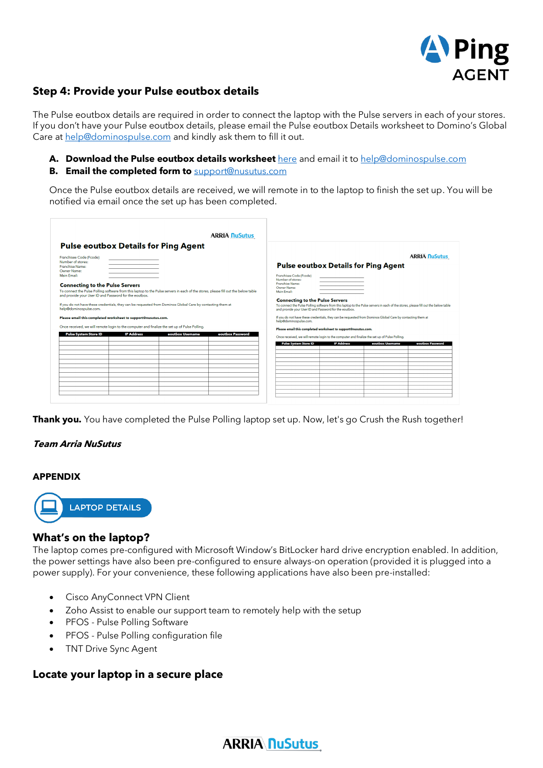

# **Step 4: Provide your Pulse eoutbox details**

The Pulse eoutbox details are required in order to connect the laptop with the Pulse servers in each of your stores. If you don't have your Pulse eoutbox details, please email the Pulse eoutbox Details worksheet to Domino's Global Care at [help@dominospulse.com](mailto:help@dominospulse.com) and kindly ask them to fill it out.

**A. Download the Pulse eoutbox details worksheet** [here](https://www.nusutus.com/wp-content/uploads/2022/02/Pulse-eoutbox-Details-Worksheet-Feb-11.pdf) and email it to help@dominospulse.com

#### **B. Email the completed form to** [support@nusutus.com](mailto:PFOSHelp@nusutus.com)

Once the Pulse eoutbox details are received, we will remote in to the laptop to finish the set up. You will be notified via email once the set up has been completed.

| <b>ARRIA NuSutus</b><br><b>Pulse eoutbox Details for Ping Agent</b>                                                                                                                                                                                                                                                                                                                                                                                                                                                                                                                                                                                                                                                                                   |                                                                                                                                                                                                                                                                                                                                                                                                                                                                                                                                                                                                                         |
|-------------------------------------------------------------------------------------------------------------------------------------------------------------------------------------------------------------------------------------------------------------------------------------------------------------------------------------------------------------------------------------------------------------------------------------------------------------------------------------------------------------------------------------------------------------------------------------------------------------------------------------------------------------------------------------------------------------------------------------------------------|-------------------------------------------------------------------------------------------------------------------------------------------------------------------------------------------------------------------------------------------------------------------------------------------------------------------------------------------------------------------------------------------------------------------------------------------------------------------------------------------------------------------------------------------------------------------------------------------------------------------------|
| Franchisee Code (Fcode)<br>Number of stores:<br><b>Franchise Name:</b><br>Owner Name:<br>Main Email:<br><b>Connecting to the Pulse Servers</b><br>To connect the Pulse Polling software from this laptop to the Pulse servers in each of the stores, please fill out the below table<br>and provide your User ID and Password for the eoutbox.<br>If you do not have these credentials, they can be requested from Dominos Global Care by contacting them at<br>help@dominospulse.com.<br>Please email this completed worksheet to support@nusutus.com.<br>Once received, we will remote login to the computer and finalize the set up of Pulse Polling.<br><b>Pulse System Store ID</b><br><b>IP Address</b><br>eoutbox Username<br>eoutbox Password | <b>ARRIA NuSutus</b><br><b>Pulse eoutbox Details for Ping Agent</b><br>Franchisee Code (Fcode)<br>Number of stores:<br>Franchise Name:<br>Owner Name:<br>Main Email:<br><b>Connecting to the Pulse Servers</b><br>To connect the Pulse Polling software from this laptop to the Pulse servers in each of the stores, please fill out the below table<br>and provide your User ID and Password for the eoutbox.<br>If you do not have these credentials, they can be requested from Dominos Global Care by contacting them at<br>help@dominospulse.com.<br>Please email this completed worksheet to support@nusutus.com. |
|                                                                                                                                                                                                                                                                                                                                                                                                                                                                                                                                                                                                                                                                                                                                                       | Once received, we will remote login to the computer and finalize the set up of Pulse Polling.<br><b>IP Address</b><br><b>Pulse System Store ID</b><br>eoutbox Username<br>eoutbox Password                                                                                                                                                                                                                                                                                                                                                                                                                              |

**Thank you.** You have completed the Pulse Polling laptop set up. Now, let's go Crush the Rush together!

#### **Team Arria NuSutus**

#### **APPENDIX**



# **What's on the laptop?**

The laptop comes pre-configured with Microsoft Window's BitLocker hard drive encryption enabled. In addition, the power settings have also been pre-configured to ensure always-on operation (provided it is plugged into a power supply). For your convenience, these following applications have also been pre-installed:

- Cisco AnyConnect VPN Client
- Zoho Assist to enable our support team to remotely help with the setup
- PFOS Pulse Polling Software
- PFOS Pulse Polling configuration file
- TNT Drive Sync Agent

### **Locate your laptop in a secure place**

# **ARRIA NuSutus**